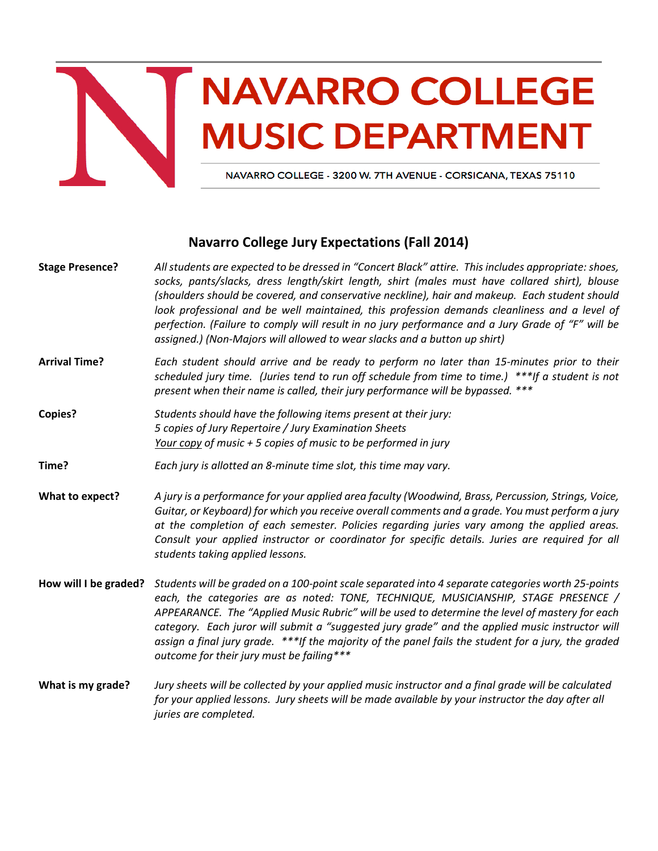

## **NAVARRO COLLEGE MUSIC DEPARTMENT**

NAVARRO COLLEGE - 3200 W. 7TH AVENUE - CORSICANA, TEXAS 75110

## **Navarro College Jury Expectations (Fall 2014)**

| <b>Stage Presence?</b> | All students are expected to be dressed in "Concert Black" attire. This includes appropriate: shoes,<br>socks, pants/slacks, dress length/skirt length, shirt (males must have collared shirt), blouse<br>(shoulders should be covered, and conservative neckline), hair and makeup. Each student should<br>look professional and be well maintained, this profession demands cleanliness and a level of<br>perfection. (Failure to comply will result in no jury performance and a Jury Grade of "F" will be<br>assigned.) (Non-Majors will allowed to wear slacks and a button up shirt) |
|------------------------|--------------------------------------------------------------------------------------------------------------------------------------------------------------------------------------------------------------------------------------------------------------------------------------------------------------------------------------------------------------------------------------------------------------------------------------------------------------------------------------------------------------------------------------------------------------------------------------------|
| <b>Arrival Time?</b>   | Each student should arrive and be ready to perform no later than 15-minutes prior to their<br>scheduled jury time. (Juries tend to run off schedule from time to time.) ***If a student is not<br>present when their name is called, their jury performance will be bypassed. ***                                                                                                                                                                                                                                                                                                          |
| <b>Copies?</b>         | Students should have the following items present at their jury:<br>5 copies of Jury Repertoire / Jury Examination Sheets<br>Your copy of music $+5$ copies of music to be performed in jury                                                                                                                                                                                                                                                                                                                                                                                                |
| Time?                  | Each jury is allotted an 8-minute time slot, this time may vary.                                                                                                                                                                                                                                                                                                                                                                                                                                                                                                                           |
| What to expect?        | A jury is a performance for your applied area faculty (Woodwind, Brass, Percussion, Strings, Voice,<br>Guitar, or Keyboard) for which you receive overall comments and a grade. You must perform a jury<br>at the completion of each semester. Policies regarding juries vary among the applied areas.<br>Consult your applied instructor or coordinator for specific details. Juries are required for all<br>students taking applied lessons.                                                                                                                                             |
| How will I be graded?  | Students will be graded on a 100-point scale separated into 4 separate categories worth 25-points<br>each, the categories are as noted: TONE, TECHNIQUE, MUSICIANSHIP, STAGE PRESENCE /<br>APPEARANCE. The "Applied Music Rubric" will be used to determine the level of mastery for each<br>category. Each juror will submit a "suggested jury grade" and the applied music instructor will<br>assign a final jury grade. ***If the majority of the panel fails the student for a jury, the graded<br>outcome for their jury must be failing***                                           |
| What is my grade?      | Jury sheets will be collected by your applied music instructor and a final grade will be calculated<br>for your applied lessons. Jury sheets will be made available by your instructor the day after all<br>juries are completed.                                                                                                                                                                                                                                                                                                                                                          |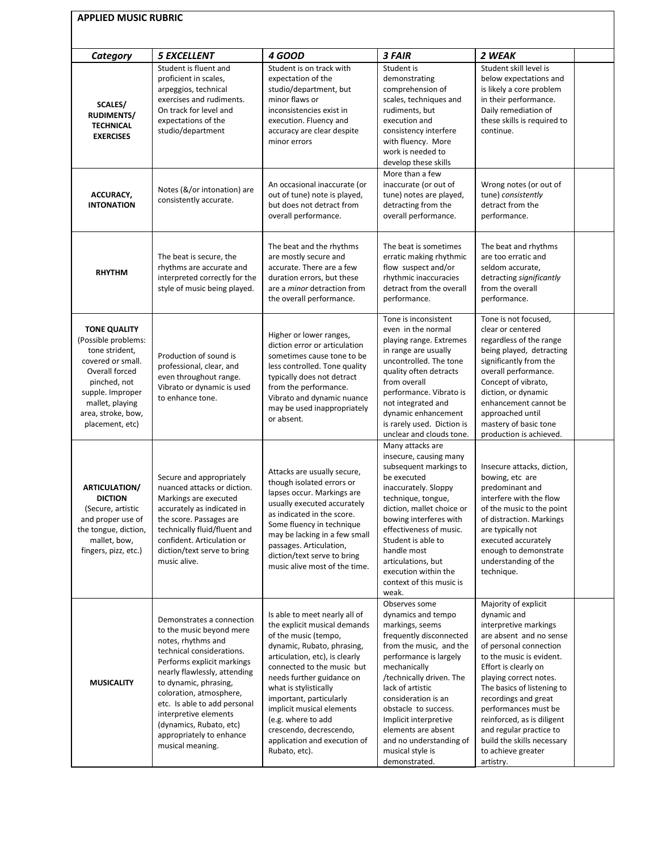| <b>APPLIED MUSIC RUBRIC</b>                                                                                                                                                                         |                                                                                                                                                                                                                                                                                                                                                                |                                                                                                                                                                                                                                                                                                                                                                                                     |                                                                                                                                                                                                                                                                                                                                                                       |                                                                                                                                                                                                                                                                                                                                                                                                         |  |  |  |
|-----------------------------------------------------------------------------------------------------------------------------------------------------------------------------------------------------|----------------------------------------------------------------------------------------------------------------------------------------------------------------------------------------------------------------------------------------------------------------------------------------------------------------------------------------------------------------|-----------------------------------------------------------------------------------------------------------------------------------------------------------------------------------------------------------------------------------------------------------------------------------------------------------------------------------------------------------------------------------------------------|-----------------------------------------------------------------------------------------------------------------------------------------------------------------------------------------------------------------------------------------------------------------------------------------------------------------------------------------------------------------------|---------------------------------------------------------------------------------------------------------------------------------------------------------------------------------------------------------------------------------------------------------------------------------------------------------------------------------------------------------------------------------------------------------|--|--|--|
| Category                                                                                                                                                                                            | <b>5 EXCELLENT</b>                                                                                                                                                                                                                                                                                                                                             | <b>4 GOOD</b>                                                                                                                                                                                                                                                                                                                                                                                       | 3 FAIR                                                                                                                                                                                                                                                                                                                                                                | 2 WEAK                                                                                                                                                                                                                                                                                                                                                                                                  |  |  |  |
| <b>SCALES/</b><br><b>RUDIMENTS/</b><br><b>TECHNICAL</b><br><b>EXERCISES</b>                                                                                                                         | Student is fluent and<br>proficient in scales,<br>arpeggios, technical<br>exercises and rudiments.<br>On track for level and<br>expectations of the<br>studio/department                                                                                                                                                                                       | Student is on track with<br>expectation of the<br>studio/department, but<br>minor flaws or<br>inconsistencies exist in<br>execution. Fluency and<br>accuracy are clear despite<br>minor errors                                                                                                                                                                                                      | Student is<br>demonstrating<br>comprehension of<br>scales, techniques and<br>rudiments, but<br>execution and<br>consistency interfere<br>with fluency. More<br>work is needed to<br>develop these skills                                                                                                                                                              | Student skill level is<br>below expectations and<br>is likely a core problem<br>in their performance.<br>Daily remediation of<br>these skills is required to<br>continue.                                                                                                                                                                                                                               |  |  |  |
| ACCURACY,<br><b>INTONATION</b>                                                                                                                                                                      | Notes (&/or intonation) are<br>consistently accurate.                                                                                                                                                                                                                                                                                                          | An occasional inaccurate (or<br>out of tune) note is played,<br>but does not detract from<br>overall performance.                                                                                                                                                                                                                                                                                   | More than a few<br>inaccurate (or out of<br>tune) notes are played,<br>detracting from the<br>overall performance.                                                                                                                                                                                                                                                    | Wrong notes (or out of<br>tune) consistently<br>detract from the<br>performance.                                                                                                                                                                                                                                                                                                                        |  |  |  |
| <b>RHYTHM</b>                                                                                                                                                                                       | The beat is secure, the<br>rhythms are accurate and<br>interpreted correctly for the<br>style of music being played.                                                                                                                                                                                                                                           | The beat and the rhythms<br>are mostly secure and<br>accurate. There are a few<br>duration errors, but these<br>are a <i>minor</i> detraction from<br>the overall performance.                                                                                                                                                                                                                      | The beat is sometimes<br>erratic making rhythmic<br>flow suspect and/or<br>rhythmic inaccuracies<br>detract from the overall<br>performance.                                                                                                                                                                                                                          | The beat and rhythms<br>are too erratic and<br>seldom accurate,<br>detracting significantly<br>from the overall<br>performance.                                                                                                                                                                                                                                                                         |  |  |  |
| <b>TONE QUALITY</b><br>(Possible problems:<br>tone strident,<br>covered or small.<br>Overall forced<br>pinched, not<br>supple. Improper<br>mallet, playing<br>area, stroke, bow,<br>placement, etc) | Production of sound is<br>professional, clear, and<br>even throughout range.<br>Vibrato or dynamic is used<br>to enhance tone.                                                                                                                                                                                                                                 | Higher or lower ranges,<br>diction error or articulation<br>sometimes cause tone to be<br>less controlled. Tone quality<br>typically does not detract<br>from the performance.<br>Vibrato and dynamic nuance<br>may be used inappropriately<br>or absent.                                                                                                                                           | Tone is inconsistent<br>even in the normal<br>playing range. Extremes<br>in range are usually<br>uncontrolled. The tone<br>quality often detracts<br>from overall<br>performance. Vibrato is<br>not integrated and<br>dynamic enhancement<br>is rarely used. Diction is<br>unclear and clouds tone.                                                                   | Tone is not focused,<br>clear or centered<br>regardless of the range<br>being played, detracting<br>significantly from the<br>overall performance.<br>Concept of vibrato,<br>diction, or dynamic<br>enhancement cannot be<br>approached until<br>mastery of basic tone<br>production is achieved.                                                                                                       |  |  |  |
| <b>ARTICULATION/</b><br><b>DICTION</b><br>(Secure, artistic<br>and proper use of<br>the tongue, diction,<br>mallet, bow,<br>fingers, pizz, etc.)                                                    | Secure and appropriately<br>nuanced attacks or diction.<br>Markings are executed<br>accurately as indicated in<br>the score. Passages are<br>technically fluid/fluent and<br>confident. Articulation or<br>diction/text serve to bring<br>music alive.                                                                                                         | Attacks are usually secure,<br>though isolated errors or<br>lapses occur. Markings are<br>usually executed accurately<br>as indicated in the score.<br>Some fluency in technique<br>may be lacking in a few small<br>passages. Articulation,<br>diction/text serve to bring<br>music alive most of the time.                                                                                        | Many attacks are<br>insecure, causing many<br>subsequent markings to<br>be executed<br>inaccurately. Sloppy<br>technique, tongue,<br>diction, mallet choice or<br>bowing interferes with<br>effectiveness of music.<br>Student is able to<br>handle most<br>articulations, but<br>execution within the<br>context of this music is<br>weak.                           | Insecure attacks, diction,<br>bowing, etc are<br>predominant and<br>interfere with the flow<br>of the music to the point<br>of distraction. Markings<br>are typically not<br>executed accurately<br>enough to demonstrate<br>understanding of the<br>technique.                                                                                                                                         |  |  |  |
| <b>MUSICALITY</b>                                                                                                                                                                                   | Demonstrates a connection<br>to the music beyond mere<br>notes, rhythms and<br>technical considerations.<br>Performs explicit markings<br>nearly flawlessly, attending<br>to dynamic, phrasing,<br>coloration, atmosphere,<br>etc. Is able to add personal<br>interpretive elements<br>(dynamics, Rubato, etc)<br>appropriately to enhance<br>musical meaning. | Is able to meet nearly all of<br>the explicit musical demands<br>of the music (tempo,<br>dynamic, Rubato, phrasing,<br>articulation, etc), is clearly<br>connected to the music but<br>needs further guidance on<br>what is stylistically<br>important, particularly<br>implicit musical elements<br>(e.g. where to add<br>crescendo, decrescendo,<br>application and execution of<br>Rubato, etc). | Observes some<br>dynamics and tempo<br>markings, seems<br>frequently disconnected<br>from the music, and the<br>performance is largely<br>mechanically<br>/technically driven. The<br>lack of artistic<br>consideration is an<br>obstacle to success.<br>Implicit interpretive<br>elements are absent<br>and no understanding of<br>musical style is<br>demonstrated. | Majority of explicit<br>dynamic and<br>interpretive markings<br>are absent and no sense<br>of personal connection<br>to the music is evident.<br>Effort is clearly on<br>playing correct notes.<br>The basics of listening to<br>recordings and great<br>performances must be<br>reinforced, as is diligent<br>and regular practice to<br>build the skills necessary<br>to achieve greater<br>artistry. |  |  |  |